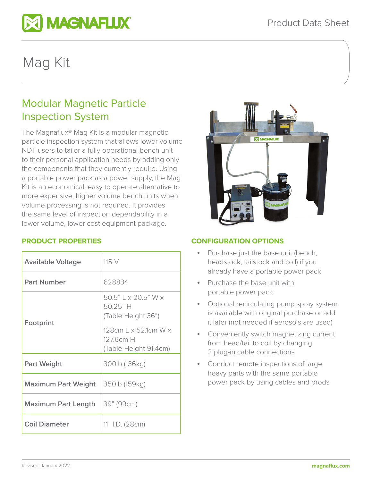

# Mag Kit

# Modular Magnetic Particle Inspection System

The Magnaflux® Mag Kit is a modular magnetic particle inspection system that allows lower volume NDT users to tailor a fully operational bench unit to their personal application needs by adding only the components that they currently require. Using a portable power pack as a power supply, the Mag Kit is an economical, easy to operate alternative to more expensive, higher volume bench units when volume processing is not required. It provides the same level of inspection dependability in a lower volume, lower cost equipment package.

## **PRODUCT PROPERTIES**

| <b>Available Voltage</b>   | 115 V                                                                                                                            |
|----------------------------|----------------------------------------------------------------------------------------------------------------------------------|
| <b>Part Number</b>         | 628834                                                                                                                           |
| Footprint                  | 50.5" L x 20.5" W x<br>50.25"H<br>(Table Height 36")<br>128cm L $\times$ 52.1cm W $\times$<br>127.6cm H<br>(Table Height 91.4cm) |
| <b>Part Weight</b>         | 300lb (136kg)                                                                                                                    |
| <b>Maximum Part Weight</b> | 350lb (159kg)                                                                                                                    |
| <b>Maximum Part Length</b> | 39" (99cm)                                                                                                                       |
| <b>Coil Diameter</b>       | 11" I.D. (28cm)                                                                                                                  |



### **CONFIGURATION OPTIONS**

- Purchase just the base unit (bench, headstock, tailstock and coil) if you already have a portable power pack
- Purchase the base unit with portable power pack
- Optional recirculating pump spray system is available with original purchase or add it later (not needed if aerosols are used)
- Conveniently switch magnetizing current from head/tail to coil by changing 2 plug-in cable connections
- Conduct remote inspections of large, heavy parts with the same portable power pack by using cables and prods